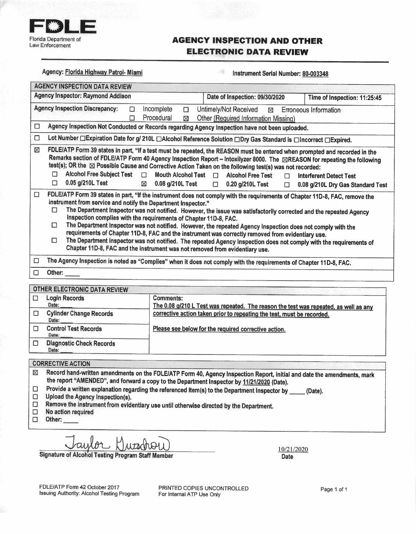

## **AGENCY INSPECTION AND OTHER ELECTRONIC DATA REVIEW**

| Agency: Florida Highway Patrol- Miami                                                  |                                                                                                                                                 | Instrument Serial Number: 80-003348                                                                                                                                                                                                                                                                                                                                                                                                                                                                                                                                                         |                                                                                                                                                                                                        |  |
|----------------------------------------------------------------------------------------|-------------------------------------------------------------------------------------------------------------------------------------------------|---------------------------------------------------------------------------------------------------------------------------------------------------------------------------------------------------------------------------------------------------------------------------------------------------------------------------------------------------------------------------------------------------------------------------------------------------------------------------------------------------------------------------------------------------------------------------------------------|--------------------------------------------------------------------------------------------------------------------------------------------------------------------------------------------------------|--|
| <b>AGENCY INSPECTION DATA REVIEW</b>                                                   |                                                                                                                                                 |                                                                                                                                                                                                                                                                                                                                                                                                                                                                                                                                                                                             |                                                                                                                                                                                                        |  |
| <b>Agency Inspector: Raymond Addison</b>                                               |                                                                                                                                                 | Date of Inspection: 09/30/2020                                                                                                                                                                                                                                                                                                                                                                                                                                                                                                                                                              | Time of Inspection: 11:25:45                                                                                                                                                                           |  |
| <b>Agency Inspection Discrepancy:</b>                                                  | Incomplete<br>П<br>$\Box$<br>Procedural<br>П<br>⊠                                                                                               | Untimely/Not Received<br>Other (Required Information Missing)                                                                                                                                                                                                                                                                                                                                                                                                                                                                                                                               | ⊠ Erroneous Information                                                                                                                                                                                |  |
| $\Box$                                                                                 |                                                                                                                                                 | Agency Inspection Not Conducted or Records regarding Agency Inspection have not been uploaded.                                                                                                                                                                                                                                                                                                                                                                                                                                                                                              |                                                                                                                                                                                                        |  |
| $\Box$                                                                                 |                                                                                                                                                 | Lot Number □ Expiration Date for g/ 210L □ Alcohol Reference Solution □ Dry Gas Standard is □ Incorrect □ Expired.                                                                                                                                                                                                                                                                                                                                                                                                                                                                          |                                                                                                                                                                                                        |  |
| ⊠<br><b>Alcohol Free Subject Test</b><br>п<br>0.05 g/210L Test<br>$\Box$               | Mouth Alcohol Test $\Box$<br>П<br>0.08 g/210L Test<br>$\boxtimes$                                                                               | FDLE/ATP Form 39 states in part, "If a test must be repeated, the REASON must be entered when prompted and recorded in the<br>test(s); OR the $\boxtimes$ Possible Cause and Corrective Action Taken on the following test(s) was not recorded:<br><b>Alcohol Free Test</b><br>П<br>$\Box$ 0.20 g/210L Test<br>$\Box$                                                                                                                                                                                                                                                                       | Remarks section of FDLE/ATP Form 40 Agency Inspection Report - Intoxilyzer 8000. The <b>EREASON</b> for repeating the following<br><b>Interferent Detect Test</b><br>0.08 g/210L Dry Gas Standard Test |  |
| $\Box$<br>instrument from service and notify the Department Inspector."<br>П<br>□<br>□ | Inspection complies with the requirements of Chapter 11D-8, FAC.<br>Chapter 11D-8, FAC and the instrument was not removed from evidentiary use. | FDLE/ATP Form 39 states in part, "If the instrument does not comply with the requirements of Chapter 11D-8, FAC, remove the<br>The Department Inspector was not notified. However, the issue was satisfactorily corrected and the repeated Agency<br>The Department Inspector was not notified. However, the repeated Agency Inspection does not comply with the<br>requirements of Chapter 11D-8, FAC and the instrument was correctly removed from evidentiary use.<br>The Department Inspector was not notified. The repeated Agency Inspection does not comply with the requirements of |                                                                                                                                                                                                        |  |
| $\Box$                                                                                 | The Agency Inspection is noted as "Complies" when it does not comply with the requirements of Chapter 11D-8, FAC.                               |                                                                                                                                                                                                                                                                                                                                                                                                                                                                                                                                                                                             |                                                                                                                                                                                                        |  |
| □<br>Other: $\_\_$                                                                     |                                                                                                                                                 |                                                                                                                                                                                                                                                                                                                                                                                                                                                                                                                                                                                             |                                                                                                                                                                                                        |  |
| <b>OTHER ELECTRONIC DATA REVIEW</b>                                                    |                                                                                                                                                 |                                                                                                                                                                                                                                                                                                                                                                                                                                                                                                                                                                                             |                                                                                                                                                                                                        |  |
| <b>Login Records</b><br>□<br>Date:                                                     | <b>Comments:</b>                                                                                                                                | The 0.08 g/210 L Test was repeated. The reason the test was repeated, as well as any                                                                                                                                                                                                                                                                                                                                                                                                                                                                                                        |                                                                                                                                                                                                        |  |
| <b>Cylinder Change Records</b><br>□<br>Date:                                           |                                                                                                                                                 | corrective action taken prior to repeating the test, must be recorded.                                                                                                                                                                                                                                                                                                                                                                                                                                                                                                                      |                                                                                                                                                                                                        |  |
| <b>Control Test Records</b><br>$\Box$                                                  |                                                                                                                                                 | Please see below for the required corrective action.                                                                                                                                                                                                                                                                                                                                                                                                                                                                                                                                        |                                                                                                                                                                                                        |  |

**CORRECTIVE ACTION** 

Date:

Date:

 $\Box$ 

- Record hand-written amendments on the FDLE/ATP Form 40, Agency Inspection Report, initial and date the amendments, mark  $\boxtimes$ the report "AMENDED", and forward a copy to the Department Inspector by 11/21/2020 (Date).
- Provide a written explanation regarding the referenced item(s) to the Department Inspector by Ω (Date).
- $\Box$ Upload the Agency Inspection(s).

**Diagnostic Check Records** 

- Remove the instrument from evidentiary use until otherwise directed by the Department.  $\Box$
- $\Box$ No action required
- $\Box$ Other:

**Signature of Alcohol Testing Program Staff Member** 

10/21/2020 Date

FDLE/ATP Form 42 October 2017 Issuing Authority: Alcohol Testing Program

PRINTED COPIES UNCONTROLLED For Internal ATP Use Only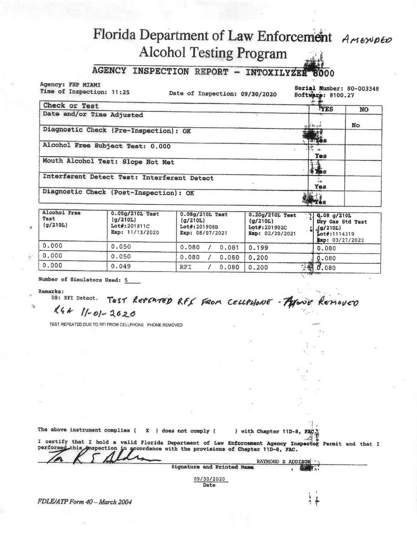# Florida Department of Law Enforcement AMENDED **Alcohol Testing Program**

### AGENCY INSPECTION REPORT - INTOXILYZER 8000

Agency: FHP MIAMI Time of Inspection: 11:25

Date of Inspection: 09/30/2020

Serial Number: 80-003348 Software: 8100.27

| Check or Test                               | <b>TYES</b>                                              | <b>NO</b> |
|---------------------------------------------|----------------------------------------------------------|-----------|
| Date and/or Time Adjusted                   |                                                          |           |
|                                             | $ \frac{1}{2}$ $\frac{1}{2}$ $\frac{1}{2}$ $\frac{1}{2}$ | No        |
| Diagnostic Check (Pre-Inspection): OK       | <b>Socia</b>                                             |           |
| Alcohol Free Subject Test: 0.000            | ત્રના<br>ત્યારે શકે<br>Yes                               |           |
| Mouth Alcohol Test: Slope Not Met           | <b>The</b>                                               |           |
| Interferent Detect Test: Interferent Detect | $\Delta$<br>Yes                                          |           |
| Diagnostic Check (Post-Inspection): OK      |                                                          |           |

| Alcohol Free<br>Test<br>(g/210L) | $0.05g/210L$ Test<br>(g/210L)<br>Lot#:201811C<br>Exp: 11/13/2020 | 0.08g/210L Test<br>(q/210L)<br>Lot#:201908B<br>Exp: 08/07/2021 | 0.20g/210L Test<br>(q/210L)<br>Lot#: 201902C<br>Exp: 02/20/2021 | 7Q.08 g/210L<br>Dry Gas Std Test<br>$\frac{1}{2}$ $\frac{1}{2}$ (g/210L)<br>Lot#:1114319<br>Exp: 03/27/2022 |
|----------------------------------|------------------------------------------------------------------|----------------------------------------------------------------|-----------------------------------------------------------------|-------------------------------------------------------------------------------------------------------------|
| 0.000                            | 0.050                                                            | 0.080<br>0.081                                                 | 0.199                                                           | 0.080                                                                                                       |
| 0.000                            | 0.050                                                            | 0.080<br>0.080                                                 | 0.200                                                           | 0.080                                                                                                       |
| 0.000                            | 0.049                                                            | RFI<br>0.080                                                   | 0.200                                                           | 1.890.080                                                                                                   |

Number of Simulators Used: 5

### **Remarks:**

08: RFI Detect. TEST REPERTED RFf FROM CELLPHONE - Pylone REMOVED  $k4$  $11 - 01 - 2020$ 

TEST REPEATED DUE TO RFI FROM CELLPHONE PHONE REMOVED

| The above instrument complies ( $X$ ) does not comply ( | ) with Chapter 11D-8, FAC.                                                                                                                                                                   |
|---------------------------------------------------------|----------------------------------------------------------------------------------------------------------------------------------------------------------------------------------------------|
|                                                         | I certify that I hold a valid Florida Department of Law Enforcement Agency Inspector Permit and that I<br>performed this maspection in accordance with the provisions of Chapter 11D-8, FAC. |
|                                                         | RAYMOND E ADDISON<br>Signature and Printed Name                                                                                                                                              |
|                                                         |                                                                                                                                                                                              |

09/30/2020 Date

 $\begin{array}{c}\n\cdot & \cdot & \cdot \\
\cdot & \cdot & \cdot \\
\cdot & \cdot & \cdot\n\end{array}$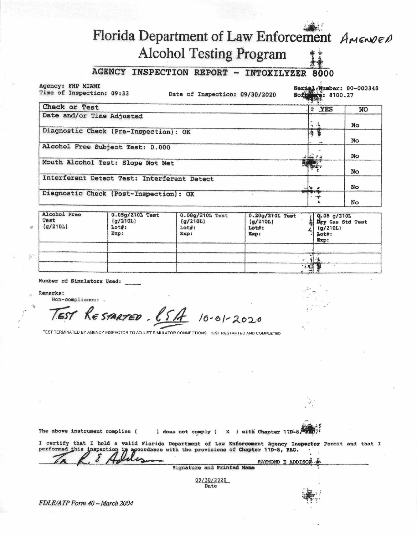# Florida Department of Law Enforcement AMENDED **Alcohol Testing Program**

#### **AGENCY INSPECTION REPORT - INTOXILYZER** 8000

## Agency: FHP MIAMI

Time of Inspection: 09:33

Date of Inspection: 09/30/2020

Serial (Number: 80-003348 **NCO: 8100.27** Soft

| Check or Test                               | # YES         | NO |
|---------------------------------------------|---------------|----|
| Date and/or Time Adjusted                   |               |    |
|                                             | $+ -$         | No |
| Diagnostic Check (Pre-Inspection): OK       | $\frac{1}{2}$ | No |
| Alcohol Free Subject Test: 0.000            |               |    |
|                                             | 44.74         | No |
| Mouth Alcohol Test: Slope Not Met           | 四城,           |    |
|                                             |               | No |
| Interferent Detect Test: Interferent Detect |               |    |
|                                             |               | No |
| Diagnostic Check (Post-Inspection): OK      |               |    |
|                                             |               | No |

| Alcohol Free<br>Test<br>(q/210L) | $0.05g/210L$ Test<br>(q/210L)<br>Lot#:<br>Exp: | 0.08g/210L Test<br>(q/210L)<br>$Loz$ :<br>Exp: | $0.20g/210L$ Test<br>(g/210L)<br>Lot#:<br>Exp: | $(0.08)$ $g/210L$<br>Dry Gas Std Test<br>(q/210L)<br>$1ot#:$<br>Exp: |
|----------------------------------|------------------------------------------------|------------------------------------------------|------------------------------------------------|----------------------------------------------------------------------|
|                                  |                                                |                                                |                                                |                                                                      |
|                                  |                                                |                                                |                                                |                                                                      |
|                                  |                                                |                                                | :13                                            |                                                                      |

#### Number of Simulators Used:

**Remarks:** 

Non-compliance: .

RESPARTED - (SA 10-01-2020  $EST$ 

TEST TERMINATED BY AGENCY INSPECTOR TO ADJUST SIMULATOR CONNECTIONS. TEST RESTARTED AND COMPLETED

The above instrument complies ( ) does not comply ( X ) with Chapter 11D-8, 2011 I certify that I hold a valid Florida Department of Law Enforcement Agency Inspector Permit and that I performed this inspection in accordance with the provisions of Chapter 11D-8, FAC. RAYMOND E ADDISON **Signature and Printed Name** 

> 09/30/2020 Date

 $\tilde{\mathcal{H}}$